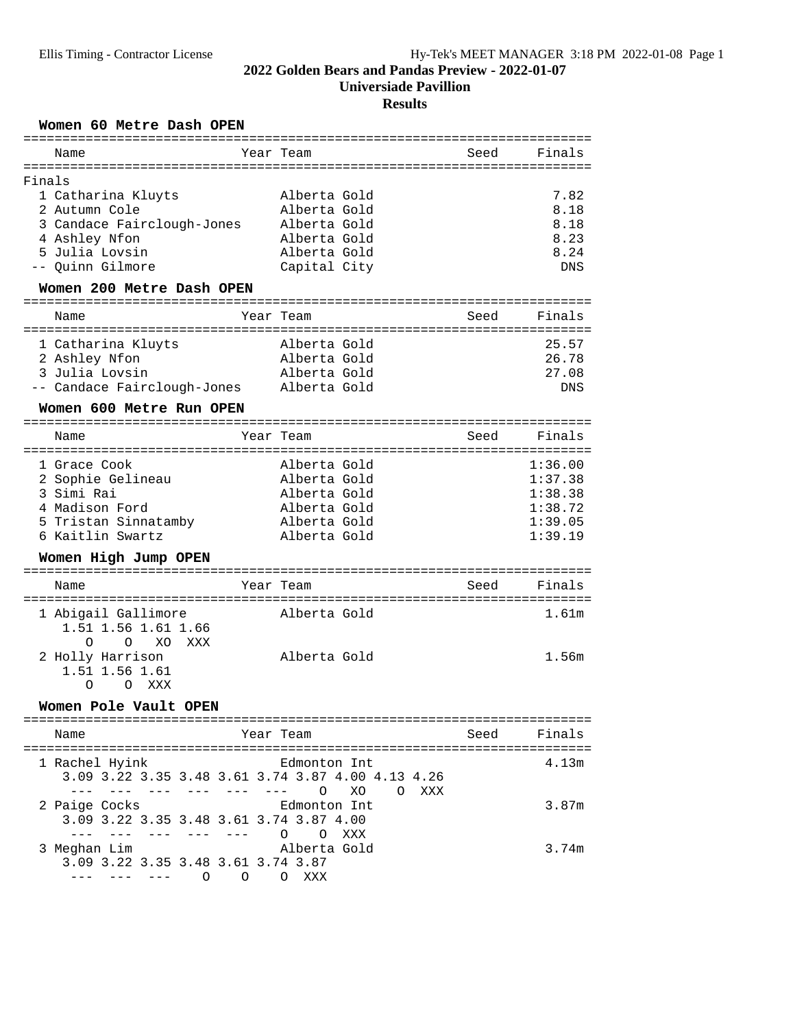**Universiade Pavillion**

# **Results**

### Women 60 Metre Dash OPEN

| Name                                          | Year Team                                         | Seed | Finals                   |  |  |  |  |
|-----------------------------------------------|---------------------------------------------------|------|--------------------------|--|--|--|--|
| :=====================<br>=================== |                                                   |      |                          |  |  |  |  |
| Finals                                        |                                                   |      |                          |  |  |  |  |
| 1 Catharina Kluyts                            | Alberta Gold                                      |      | 7.82                     |  |  |  |  |
| 2 Autumn Cole                                 | Alberta Gold                                      |      | 8.18                     |  |  |  |  |
| 3 Candace Fairclough-Jones                    | Alberta Gold                                      |      | 8.18                     |  |  |  |  |
| 4 Ashley Nfon                                 | Alberta Gold                                      |      | 8.23                     |  |  |  |  |
| 5 Julia Lovsin                                | Alberta Gold                                      |      | 8.24                     |  |  |  |  |
| Quinn Gilmore                                 | Capital City                                      |      | <b>DNS</b>               |  |  |  |  |
|                                               |                                                   |      |                          |  |  |  |  |
| Women 200 Metre Dash OPEN                     |                                                   |      |                          |  |  |  |  |
| Name                                          | Year Team                                         | Seed | Finals                   |  |  |  |  |
|                                               |                                                   |      |                          |  |  |  |  |
| 1 Catharina Kluyts                            | Alberta Gold                                      |      | 25.57                    |  |  |  |  |
| 2 Ashley Nfon                                 | Alberta Gold                                      |      | 26.78                    |  |  |  |  |
| 3 Julia Lovsin                                | Alberta Gold                                      |      | 27.08                    |  |  |  |  |
| -- Candace Fairclough-Jones                   | Alberta Gold                                      |      | <b>DNS</b>               |  |  |  |  |
| Women 600 Metre Run OPEN                      |                                                   |      |                          |  |  |  |  |
|                                               | ---------------------------                       |      |                          |  |  |  |  |
| Name                                          | Year Team                                         | Seed | Finals                   |  |  |  |  |
| 1 Grace Cook                                  | Alberta Gold                                      |      | 1:36.00                  |  |  |  |  |
| 2 Sophie Gelineau                             | Alberta Gold                                      |      | 1:37.38                  |  |  |  |  |
| 3 Simi Rai                                    | Alberta Gold                                      |      | 1:38.38                  |  |  |  |  |
|                                               |                                                   |      |                          |  |  |  |  |
| 4 Madison Ford                                | Alberta Gold                                      |      | 1:38.72                  |  |  |  |  |
| 5 Tristan Sinnatamby                          | Alberta Gold                                      |      | 1:39.05                  |  |  |  |  |
| 6 Kaitlin Swartz                              | Alberta Gold                                      |      | 1:39.19                  |  |  |  |  |
| Women High Jump OPEN                          |                                                   |      |                          |  |  |  |  |
| ============<br>Name                          | Year Team                                         | Seed | Finals                   |  |  |  |  |
|                                               |                                                   |      | ======================== |  |  |  |  |
| 1 Abigail Gallimore                           | Alberta Gold                                      |      | 1.61m                    |  |  |  |  |
| 1.51 1.56 1.61 1.66                           |                                                   |      |                          |  |  |  |  |
| $\Omega$<br>XO<br>$\Omega$<br>XXX             |                                                   |      |                          |  |  |  |  |
|                                               | Alberta Gold                                      |      | 1.56m                    |  |  |  |  |
| 2 Holly Harrison                              |                                                   |      |                          |  |  |  |  |
| 1.51 1.56 1.61                                |                                                   |      |                          |  |  |  |  |
| O XXX<br>$\Omega$                             |                                                   |      |                          |  |  |  |  |
| Women Pole Vault OPEN                         |                                                   |      |                          |  |  |  |  |
| Name                                          | Year Team                                         | Seed | Finals                   |  |  |  |  |
|                                               |                                                   |      |                          |  |  |  |  |
| 1 Rachel Hyink                                | Edmonton Int                                      |      | 4.13m                    |  |  |  |  |
|                                               | 3.09 3.22 3.35 3.48 3.61 3.74 3.87 4.00 4.13 4.26 |      |                          |  |  |  |  |
| <u>ana ana ana ana ana ana </u>               |                                                   |      |                          |  |  |  |  |
|                                               | $\circ$<br>XO<br>O XXX                            |      |                          |  |  |  |  |
| 2 Paige Cocks                                 | Edmonton Int                                      |      | 3.87m                    |  |  |  |  |
| 3.09 3.22 3.35 3.48 3.61 3.74 3.87 4.00       |                                                   |      |                          |  |  |  |  |
| a material contracts of                       | O O XXX                                           |      |                          |  |  |  |  |
| 3 Meghan Lim                                  | Alberta Gold                                      |      | 3.74m                    |  |  |  |  |
| 3.09 3.22 3.35 3.48 3.61 3.74 3.87            |                                                   |      |                          |  |  |  |  |
| --- --- --- 0 0                               | O XXX                                             |      |                          |  |  |  |  |
|                                               |                                                   |      |                          |  |  |  |  |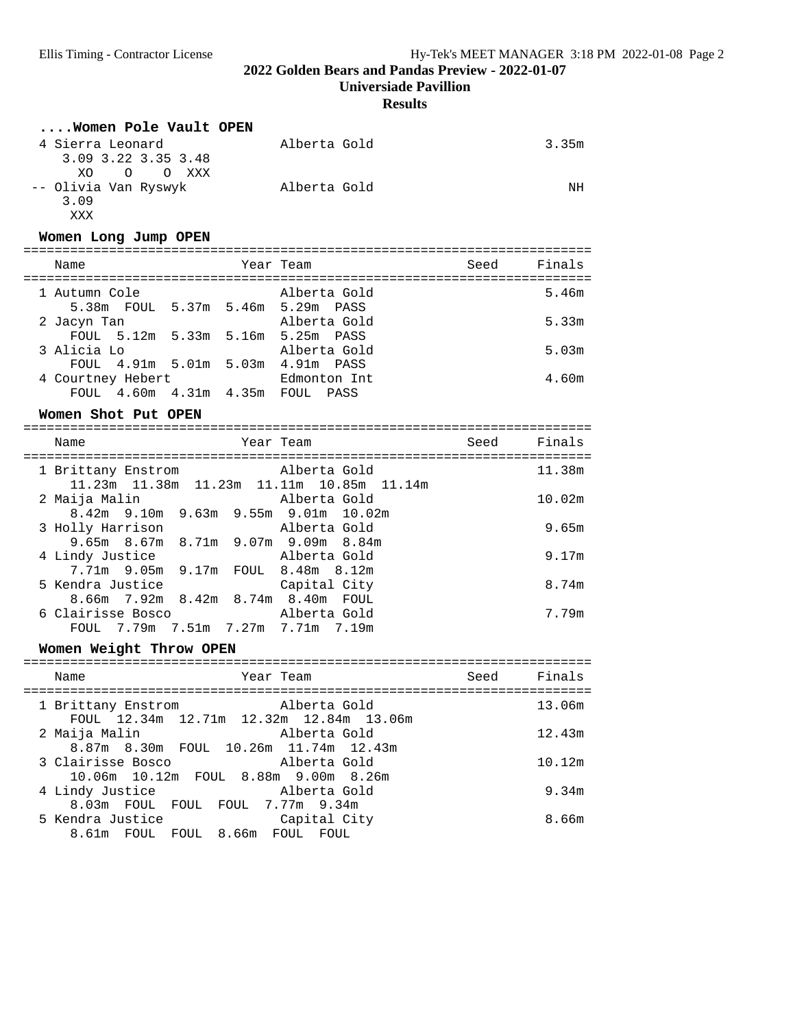**Universiade Pavillion**

## **Results**

|  | Women Pole Vault OPEN                                   |                 |                               |      |        |
|--|---------------------------------------------------------|-----------------|-------------------------------|------|--------|
|  | 4 Sierra Leonard                                        |                 | Alberta Gold                  |      | 3.35m  |
|  | 3.09 3.22 3.35 3.48<br>XO<br>$\circ$<br>O XXX           |                 |                               |      |        |
|  | -- Olivia Van Ryswyk                                    |                 | Alberta Gold                  |      | NH     |
|  | 3.09                                                    |                 |                               |      |        |
|  | XXX                                                     |                 |                               |      |        |
|  | Women Long Jump OPEN                                    |                 |                               |      |        |
|  | Name                                                    |                 | Year Team                     | Seed | Finals |
|  |                                                         |                 |                               |      |        |
|  | 1 Autumn Cole                                           |                 | Alberta Gold                  |      | 5.46m  |
|  | 5.38m FOUL 5.37m 5.46m 5.29m PASS<br>2 Jacyn Tan        |                 | Alberta Gold                  |      | 5.33m  |
|  | FOUL 5.12m 5.33m 5.16m 5.25m PASS                       |                 |                               |      |        |
|  | 3 Alicia Lo                                             |                 | Alberta Gold                  |      | 5.03m  |
|  | FOUL 4.91m 5.01m 5.03m 4.91m PASS                       |                 |                               |      |        |
|  | 4 Courtney Hebert                                       |                 | Edmonton Int                  |      | 4.60m  |
|  | FOUL 4.60m 4.31m 4.35m FOUL PASS                        |                 |                               |      |        |
|  | Women Shot Put OPEN                                     |                 |                               |      |        |
|  | Name                                                    |                 | Year Team                     | Seed | Finals |
|  |                                                         |                 |                               |      |        |
|  | 1 Brittany Enstrom                                      |                 | Alberta Gold                  |      | 11.38m |
|  | 11.23m  11.38m  11.23m  11.11m  10.85m  11.14m          |                 |                               |      |        |
|  | 2 Maija Malin<br>8.42m 9.10m 9.63m 9.55m 9.01m 10.02m   |                 | Alberta Gold                  |      | 10.02m |
|  | 3 Holly Harrison                                        |                 | Alberta Gold                  |      | 9.65m  |
|  | 9.65m 8.67m 8.71m 9.07m 9.09m 8.84m                     |                 |                               |      |        |
|  | 4 Lindy Justice                                         |                 | Alberta Gold                  |      | 9.17m  |
|  | 7.71m 9.05m                                             |                 | 9.17m FOUL 8.48m 8.12m        |      |        |
|  | 5 Kendra Justice                                        |                 | Capital City                  |      | 8.74m  |
|  | 8.66m 7.92m 8.42m 8.74m 8.40m FOUL<br>6 Clairisse Bosco |                 | Alberta Gold                  |      | 7.79m  |
|  | FOUL 7.79m 7.51m 7.27m 7.71m 7.19m                      |                 |                               |      |        |
|  | Women Weight Throw OPEN                                 |                 |                               |      |        |
|  | -----------------------------------                     |                 |                               |      |        |
|  | Name                                                    |                 | Year Team                     | Seed | Finals |
|  |                                                         |                 |                               |      |        |
|  | 1 Brittany Enstrom<br>FOUL 12.34m                       | 12.71m   12.32m | Alberta Gold<br>12.84m 13.06m |      | 13.06m |
|  | 2 Maija Malin                                           |                 | Alberta Gold                  |      | 12.43m |
|  | 8.87m 8.30m<br>FOUL                                     |                 | 10.26m  11.74m  12.43m        |      |        |
|  | 3 Clairisse Bosco                                       |                 | Alberta Gold                  |      | 10.12m |
|  | 10.06m  10.12m<br>FOUL                                  | 8.88m           | $9.00m$ 8.26m                 |      |        |
|  | 4 Lindy Justice                                         |                 | Alberta Gold                  |      | 9.34m  |
|  | 8.03m FOUL<br>FOUL<br>5 Kendra Justice                  | FOUL            | 7.77m 9.34m<br>Capital City   |      | 8.66m  |
|  | 8.61m FOUL<br>FOUL                                      | 8.66m           | FOUL FOUL                     |      |        |
|  |                                                         |                 |                               |      |        |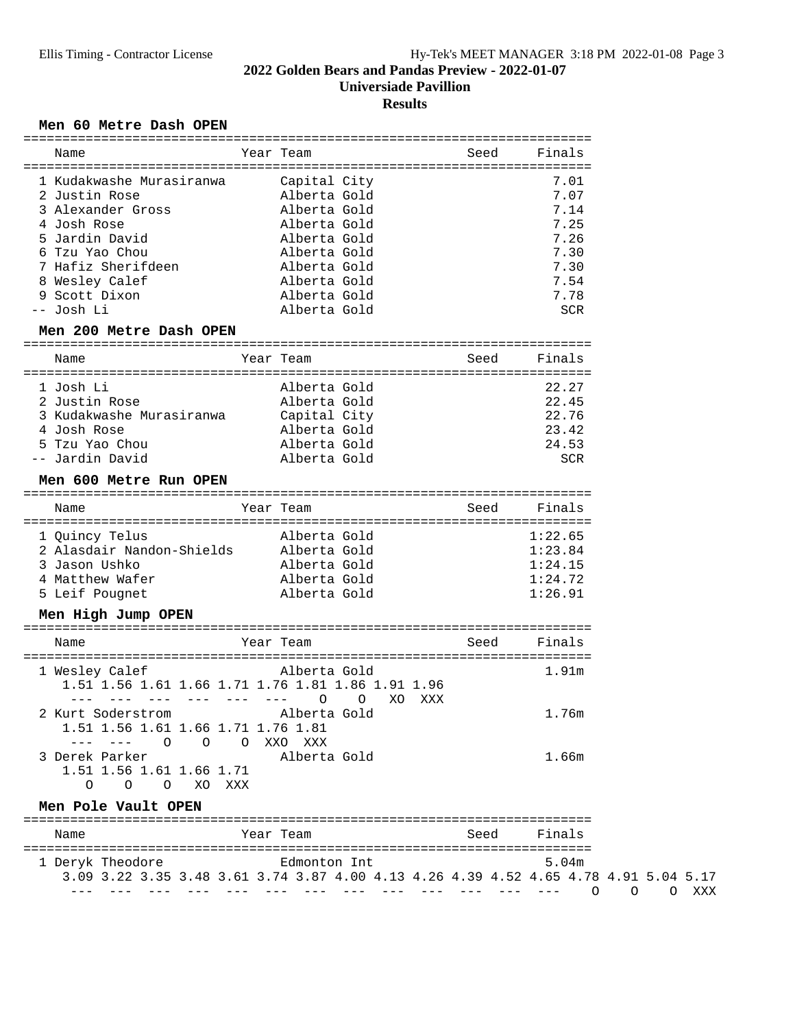**Universiade Pavillion**

#### **Results**

#### Men 60 Metre Dash OPEN

| Name                                | Year Team                                                                            | Seed | Finals  |
|-------------------------------------|--------------------------------------------------------------------------------------|------|---------|
|                                     |                                                                                      |      |         |
| 1 Kudakwashe Murasiranwa            | Capital City                                                                         |      | 7.01    |
| 2 Justin Rose                       | Alberta Gold                                                                         |      | 7.07    |
| 3 Alexander Gross                   | Alberta Gold                                                                         |      | 7.14    |
| 4 Josh Rose                         | Alberta Gold                                                                         |      | 7.25    |
| 5 Jardin David                      | Alberta Gold                                                                         |      | 7.26    |
| 6 Tzu Yao Chou                      | Alberta Gold                                                                         |      | 7.30    |
| 7 Hafiz Sherifdeen                  | Alberta Gold                                                                         |      | 7.30    |
| 8 Wesley Calef                      | Alberta Gold                                                                         |      | 7.54    |
| 9 Scott Dixon                       | Alberta Gold                                                                         |      | 7.78    |
| -- Josh Li                          | Alberta Gold                                                                         |      | SCR     |
| Men 200 Metre Dash OPEN             |                                                                                      |      |         |
|                                     |                                                                                      |      |         |
| Name                                | Year Team                                                                            | Seed | Finals  |
| 1 Josh Li                           | Alberta Gold                                                                         |      | 22.27   |
| 2 Justin Rose                       | Alberta Gold                                                                         |      | 22.45   |
| 3 Kudakwashe Murasiranwa            | Capital City                                                                         |      | 22.76   |
| 4 Josh Rose                         | Alberta Gold                                                                         |      | 23.42   |
| 5 Tzu Yao Chou                      | Alberta Gold                                                                         |      | 24.53   |
| -- Jardin David                     | Alberta Gold                                                                         |      | SCR     |
|                                     |                                                                                      |      |         |
| Men 600 Metre Run OPEN              |                                                                                      |      |         |
| Name                                | Year Team                                                                            | Seed | Finals  |
| 1 Quincy Telus                      | Alberta Gold                                                                         |      | 1:22.65 |
| 2 Alasdair Nandon-Shields           | Alberta Gold                                                                         |      | 1:23.84 |
| 3 Jason Ushko                       | Alberta Gold                                                                         |      | 1:24.15 |
|                                     |                                                                                      |      | 1:24.72 |
| 4 Matthew Wafer                     | Alberta Gold                                                                         |      |         |
| 5 Leif Pougnet                      | Alberta Gold                                                                         |      | 1:26.91 |
| Men High Jump OPEN                  |                                                                                      |      |         |
| Name                                | Year Team                                                                            | Seed | Finals  |
| 1 Wesley Calef                      | Alberta Gold                                                                         |      | 1.91m   |
|                                     | 1.51 1.56 1.61 1.66 1.71 1.76 1.81 1.86 1.91 1.96                                    |      |         |
| --- --- --- --- --- --- 0           | $\circ$<br>XO XXX                                                                    |      |         |
| 2 Kurt Soderstrom alberta Gold      |                                                                                      |      | 1.76m   |
| 1.51 1.56 1.61 1.66 1.71 1.76 1.81  |                                                                                      |      |         |
| --- --- 0 0 0 XXO XXX               |                                                                                      |      |         |
| 3 Derek Parker                      | Alberta Gold                                                                         |      | 1.66m   |
|                                     |                                                                                      |      |         |
|                                     |                                                                                      |      |         |
| 1.51 1.56 1.61 1.66 1.71            |                                                                                      |      |         |
| O O O XO XXX<br>Men Pole Vault OPEN |                                                                                      |      |         |
|                                     |                                                                                      |      |         |
| Name                                | Year Team                                                                            | Seed | Finals  |
| 1 Deryk Theodore                    | Edmonton Int                                                                         |      | 5.04m   |
|                                     | 3.09 3.22 3.35 3.48 3.61 3.74 3.87 4.00 4.13 4.26 4.39 4.52 4.65 4.78 4.91 5.04 5.17 |      |         |